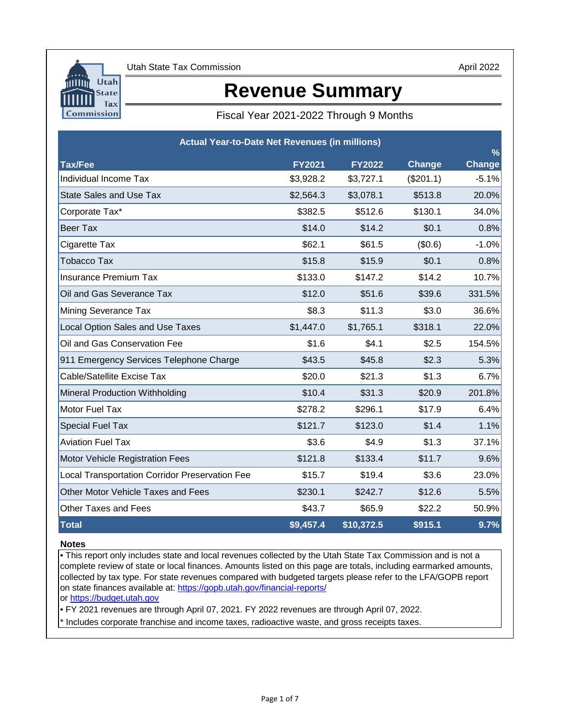

# **Revenue Summary**

Fiscal Year 2021-2022 Through 9 Months

| <b>Actual Year-to-Date Net Revenues (in millions)</b> |               |               |           | $\frac{0}{0}$ |
|-------------------------------------------------------|---------------|---------------|-----------|---------------|
| <b>Tax/Fee</b>                                        | <b>FY2021</b> | <b>FY2022</b> | Change    | <b>Change</b> |
| Individual Income Tax                                 | \$3,928.2     | \$3,727.1     | (\$201.1) | $-5.1%$       |
| <b>State Sales and Use Tax</b>                        | \$2,564.3     | \$3,078.1     | \$513.8   | 20.0%         |
| Corporate Tax*                                        | \$382.5       | \$512.6       | \$130.1   | 34.0%         |
| <b>Beer Tax</b>                                       | \$14.0        | \$14.2        | \$0.1     | 0.8%          |
| Cigarette Tax                                         | \$62.1        | \$61.5        | (\$0.6)   | $-1.0%$       |
| Tobacco Tax                                           | \$15.8        | \$15.9        | \$0.1     | 0.8%          |
| <b>Insurance Premium Tax</b>                          | \$133.0       | \$147.2       | \$14.2    | 10.7%         |
| Oil and Gas Severance Tax                             | \$12.0        | \$51.6        | \$39.6    | 331.5%        |
| <b>Mining Severance Tax</b>                           | \$8.3         | \$11.3        | \$3.0     | 36.6%         |
| <b>Local Option Sales and Use Taxes</b>               | \$1,447.0     | \$1,765.1     | \$318.1   | 22.0%         |
| Oil and Gas Conservation Fee                          | \$1.6         | \$4.1         | \$2.5     | 154.5%        |
| 911 Emergency Services Telephone Charge               | \$43.5        | \$45.8        | \$2.3     | 5.3%          |
| <b>Cable/Satellite Excise Tax</b>                     | \$20.0        | \$21.3        | \$1.3     | 6.7%          |
| <b>Mineral Production Withholding</b>                 | \$10.4        | \$31.3        | \$20.9    | 201.8%        |
| Motor Fuel Tax                                        | \$278.2       | \$296.1       | \$17.9    | 6.4%          |
| <b>Special Fuel Tax</b>                               | \$121.7       | \$123.0       | \$1.4     | 1.1%          |
| <b>Aviation Fuel Tax</b>                              | \$3.6         | \$4.9         | \$1.3     | 37.1%         |
| <b>Motor Vehicle Registration Fees</b>                | \$121.8       | \$133.4       | \$11.7    | 9.6%          |
| <b>Local Transportation Corridor Preservation Fee</b> | \$15.7        | \$19.4        | \$3.6     | 23.0%         |
| <b>Other Motor Vehicle Taxes and Fees</b>             | \$230.1       | \$242.7       | \$12.6    | 5.5%          |
| <b>Other Taxes and Fees</b>                           | \$43.7        | \$65.9        | \$22.2    | 50.9%         |
| <b>Total</b>                                          | \$9,457.4     | \$10,372.5    | \$915.1   | 9.7%          |

### **Notes**

[or https://budget.utah.gov](https://le.utah.gov/asp/lfa/lfareports.asp?src=LFAREV) • This report only includes state and local revenues collected by the Utah State Tax Commission and is not a complete review of state or local finances. Amounts listed on this page are totals, including earmarked amounts, collected by tax type. For state revenues compared with budgeted targets please refer to the LFA/GOPB report on state finances available at: https://gopb.utah.gov/financial-reports/

• FY 2021 revenues are through April 07, 2021. FY 2022 revenues are through April 07, 2022.

\* Includes corporate franchise and income taxes, radioactive waste, and gross receipts taxes.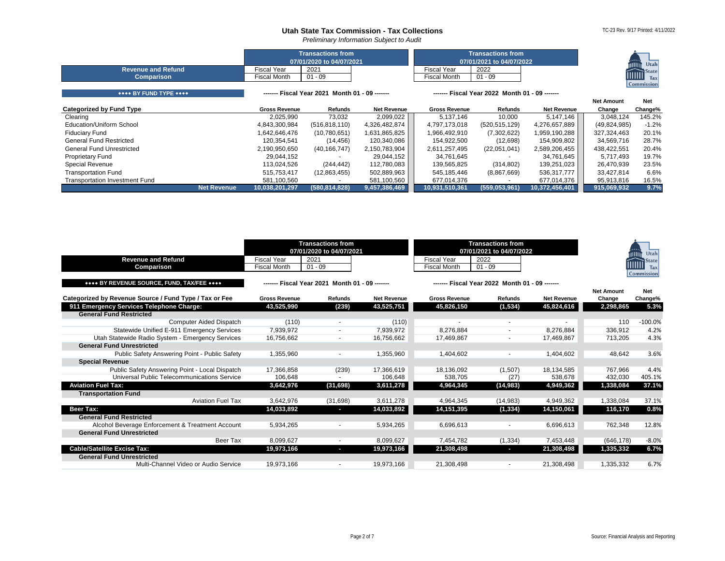





|                                       | <b>Transactions from</b><br>07/01/2020 to 04/07/2021 |                                                |                    | <b>Transactions from</b><br>07/01/2021 to 04/07/2022 |                                                | Utah               |                   |                   |
|---------------------------------------|------------------------------------------------------|------------------------------------------------|--------------------|------------------------------------------------------|------------------------------------------------|--------------------|-------------------|-------------------|
| <b>Revenue and Refund</b>             | <b>Fiscal Year</b>                                   | 2021                                           |                    | <b>Fiscal Year</b>                                   | 2022                                           |                    |                   | <b>State</b>      |
| <b>Comparison</b>                     | <b>Fiscal Month</b>                                  | $01 - 09$                                      |                    | <b>Fiscal Month</b>                                  | $01 - 09$                                      |                    |                   | imil<br>Tax       |
|                                       |                                                      |                                                |                    |                                                      |                                                |                    |                   | <b>Commission</b> |
| **** BY FUND TYPE ****                |                                                      | ------- Fiscal Year 2021 Month 01 - 09 ------- |                    |                                                      | ------- Fiscal Year 2022 Month 01 - 09 ------- |                    |                   |                   |
|                                       |                                                      |                                                |                    |                                                      |                                                |                    | <b>Net Amount</b> | <b>Net</b>        |
| <b>Categorized by Fund Type</b>       | <b>Gross Revenue</b>                                 | Refunds                                        | <b>Net Revenue</b> | <b>Gross Revenue</b>                                 | <b>Refunds</b>                                 | <b>Net Revenue</b> | Change            | Change%           |
| Clearing                              | 2,025,990                                            | 73,032                                         | 2,099,022          | 5,137,146                                            | 10,000                                         | 5,147,146          | 3,048,124         | 145.2%            |
| <b>Education/Uniform School</b>       | 4,843,300,984                                        | (516, 818, 110)                                | 4,326,482,874      | 4,797,173,018                                        | (520, 515, 129)                                | 4,276,657,889      | (49, 824, 985)    | $-1.2%$           |
| <b>Fiduciary Fund</b>                 | 1,642,646,476                                        | (10,780,651)                                   | 1,631,865,825      | 1,966,492,910                                        | (7,302,622)                                    | 1,959,190,288      | 327,324,463       | 20.1%             |
| <b>General Fund Restricted</b>        | 120,354,541                                          | (14, 456)                                      | 120,340,086        | 154,922,500                                          | (12,698)                                       | 154,909,802        | 34,569,716        | 28.7%             |
| <b>General Fund Unrestricted</b>      | 2,190,950,650                                        | (40, 166, 747)                                 | 2,150,783,904      | 2,611,257,495                                        | (22,051,041)                                   | 2,589,206,455      | 438,422,551       | 20.4%             |
| <b>Proprietary Fund</b>               | 29,044,152                                           |                                                | 29,044,152         | 34,761,645                                           |                                                | 34,761,645         | 5,717,493         | 19.7%             |
| Special Revenue                       | 113,024,526                                          | (244, 442)                                     | 112,780,083        | 139,565,825                                          | (314, 802)                                     | 139,251,023        | 26,470,939        | 23.5%             |
| <b>Transportation Fund</b>            | 515,753,417                                          | (12,863,455)                                   | 502,889,963        | 545,185,446                                          | (8,867,669)                                    | 536, 317, 777      | 33,427,814        | 6.6%              |
| <b>Transportation Investment Fund</b> | 581,100,560                                          |                                                | 581,100,560        | 677,014,376                                          |                                                | 677,014,376        | 95,913,816        | 16.5%             |
| <b>Net Revenue</b>                    | 10,038,201,297                                       | (580, 814, 828)                                | 9,457,386,469      | 10,931,510,361                                       | (559, 053, 961)                                | 10,372,456,401     | 915,069,932       | 9.7%              |

<span id="page-1-4"></span><span id="page-1-3"></span><span id="page-1-2"></span><span id="page-1-1"></span><span id="page-1-0"></span>

|                                                                            | <b>Transactions from</b><br>07/01/2020 to 04/07/2021 |                                                | <b>Transactions from</b><br>07/01/2021 to 04/07/2022 |                      |                                                | Utah<br>.<br>MUU   |                   |                                 |
|----------------------------------------------------------------------------|------------------------------------------------------|------------------------------------------------|------------------------------------------------------|----------------------|------------------------------------------------|--------------------|-------------------|---------------------------------|
| <b>Revenue and Refund</b>                                                  | <b>Fiscal Year</b>                                   | 2021                                           |                                                      | <b>Fiscal Year</b>   | 2022                                           |                    |                   | State<br><u>illilli</u>         |
| <b>Comparison</b>                                                          | <b>Fiscal Month</b>                                  | $01 - 09$                                      |                                                      | <b>Fiscal Month</b>  | $01 - 09$                                      |                    |                   | <b>Tax</b><br><b>Commission</b> |
| **** BY REVENUE SOURCE, FUND, TAX/FEE ****                                 |                                                      | ------- Fiscal Year 2021 Month 01 - 09 ------- |                                                      |                      | ------- Fiscal Year 2022 Month 01 - 09 ------- |                    |                   |                                 |
|                                                                            |                                                      |                                                |                                                      |                      |                                                |                    | <b>Net Amount</b> | <b>Net</b>                      |
| Categorized by Revenue Source / Fund Type / Tax or Fee                     | <b>Gross Revenue</b>                                 | <b>Refunds</b>                                 | <b>Net Revenue</b>                                   | <b>Gross Revenue</b> | <b>Refunds</b>                                 | <b>Net Revenue</b> | Change            | Change%<br>5.3%                 |
| 911 Emergency Services Telephone Charge:<br><b>General Fund Restricted</b> | 43,525,990                                           | (239)                                          | 43,525,751                                           | 45,826,150           | (1, 534)                                       | 45,824,616         | 2,298,865         |                                 |
| <b>Computer Aided Dispatch</b>                                             | (110)                                                |                                                | (110)                                                |                      |                                                |                    | 110               | $-100.0%$                       |
| Statewide Unified E-911 Emergency Services                                 | 7,939,972                                            |                                                | 7,939,972                                            | 8,276,884            |                                                | 8,276,884          | 336,912           | 4.2%                            |
| Utah Statewide Radio System - Emergency Services                           | 16,756,662                                           | $\sim$                                         | 16,756,662                                           | 17,469,867           |                                                | 17,469,867         | 713,205           | 4.3%                            |
| <b>General Fund Unrestricted</b>                                           |                                                      |                                                |                                                      |                      |                                                |                    |                   |                                 |
| Public Safety Answering Point - Public Safety                              | 1,355,960                                            |                                                | 1,355,960                                            | 1,404,602            |                                                | 1,404,602          | 48,642            | 3.6%                            |
| <b>Special Revenue</b>                                                     |                                                      |                                                |                                                      |                      |                                                |                    |                   |                                 |
| Public Safety Answering Point - Local Dispatch                             | 17,366,858                                           | (239)                                          | 17,366,619                                           | 18,136,092           | (1,507)                                        | 18,134,585         | 767,966           | 4.4%                            |
| <b>Universal Public Telecommunications Service</b>                         | 106,648                                              |                                                | 106,648                                              | 538,705              | (27)                                           | 538,678            | 432,030           | 405.1%                          |
| <b>Aviation Fuel Tax:</b>                                                  | 3,642,976                                            | (31, 698)                                      | 3,611,278                                            | 4,964,345            | (14, 983)                                      | 4,949,362          | 1,338,084         | 37.1%                           |
| <b>Transportation Fund</b>                                                 |                                                      |                                                |                                                      |                      |                                                |                    |                   |                                 |
| <b>Aviation Fuel Tax</b>                                                   | 3,642,976                                            | (31, 698)                                      | 3,611,278                                            | 4,964,345            | (14, 983)                                      | 4,949,362          | 1,338,084         | 37.1%                           |
| <b>Beer Tax:</b><br><b>General Fund Restricted</b>                         | 14,033,892                                           | $\sim$                                         | 14,033,892                                           | 14,151,395           | (1, 334)                                       | 14,150,061         | 116,170           | 0.8%                            |
| Alcohol Beverage Enforcement & Treatment Account                           | 5,934,265                                            |                                                | 5,934,265                                            | 6,696,613            |                                                | 6,696,613          | 762,348           | 12.8%                           |
| <b>General Fund Unrestricted</b>                                           |                                                      |                                                |                                                      |                      |                                                |                    |                   |                                 |
| Beer Tax                                                                   | 8,099,627                                            |                                                | 8,099,627                                            | 7,454,782            | (1, 334)                                       | 7,453,448          | (646, 178)        | $-8.0%$                         |
| <b>Cable/Satellite Excise Tax:</b>                                         | 19,973,166                                           | $\sim$                                         | 19,973,166                                           | 21,308,498           | $\overline{\phantom{a}}$                       | 21,308,498         | 1,335,332         | 6.7%                            |
| <b>General Fund Unrestricted</b>                                           |                                                      |                                                |                                                      |                      |                                                |                    |                   |                                 |
| Multi-Channel Video or Audio Service                                       | 19,973,166                                           |                                                | 19,973,166                                           | 21,308,498           |                                                | 21,308,498         | 1,335,332         | 6.7%                            |
|                                                                            |                                                      |                                                |                                                      |                      |                                                |                    |                   |                                 |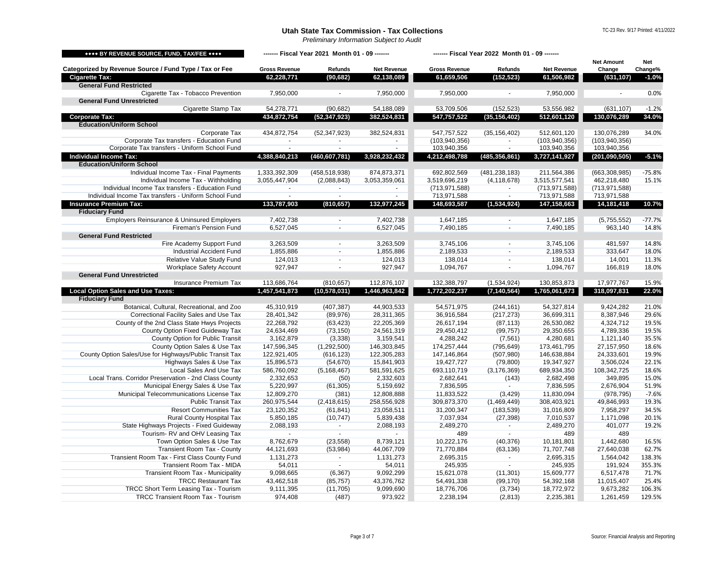<span id="page-2-4"></span><span id="page-2-3"></span><span id="page-2-2"></span><span id="page-2-1"></span><span id="page-2-0"></span>

| **** BY REVENUE SOURCE, FUND, TAX/FEE ****              |                      |                 |                    |                      | ------- Fiscal Year 2021 Month 01 - 09 ------- |                    |                             | ------- Fiscal Year 2022 Month 01 - 09 ------- |  |  |  |  |  |  |  |  |
|---------------------------------------------------------|----------------------|-----------------|--------------------|----------------------|------------------------------------------------|--------------------|-----------------------------|------------------------------------------------|--|--|--|--|--|--|--|--|
| Categorized by Revenue Source / Fund Type / Tax or Fee  | <b>Gross Revenue</b> | <b>Refunds</b>  | <b>Net Revenue</b> | <b>Gross Revenue</b> | <b>Refunds</b>                                 | <b>Net Revenue</b> | <b>Net Amount</b><br>Change | <b>Net</b><br>Change%                          |  |  |  |  |  |  |  |  |
| <b>Cigarette Tax:</b>                                   | 62,228,771           | (90, 682)       | 62,138,089         | 61,659,506           | (152, 523)                                     | 61,506,982         | (631, 107)                  | $-1.0%$                                        |  |  |  |  |  |  |  |  |
| <b>General Fund Restricted</b>                          |                      |                 |                    |                      |                                                |                    |                             |                                                |  |  |  |  |  |  |  |  |
| Cigarette Tax - Tobacco Prevention                      | 7,950,000            |                 | 7,950,000          | 7,950,000            |                                                | 7,950,000          |                             | 0.0%                                           |  |  |  |  |  |  |  |  |
| <b>General Fund Unrestricted</b>                        |                      |                 |                    |                      |                                                |                    |                             |                                                |  |  |  |  |  |  |  |  |
| Cigarette Stamp Tax                                     | 54,278,771           | (90, 682)       | 54,188,089         | 53,709,506           | (152, 523)                                     | 53,556,982         | (631, 107)                  | $-1.2%$                                        |  |  |  |  |  |  |  |  |
| <b>Corporate Tax:</b>                                   | 434,872,754          | (52, 347, 923)  | 382,524,831        | 547,757,522          | (35, 156, 402)                                 | 512,601,120        | 130,076,289                 | 34.0%                                          |  |  |  |  |  |  |  |  |
| <b>Education/Uniform School</b>                         |                      |                 |                    |                      |                                                |                    |                             |                                                |  |  |  |  |  |  |  |  |
| Corporate Tax                                           | 434,872,754          | (52, 347, 923)  | 382,524,831        | 547,757,522          | (35, 156, 402)                                 | 512,601,120        | 130,076,289                 | 34.0%                                          |  |  |  |  |  |  |  |  |
| Corporate Tax transfers - Education Fund                | $\blacksquare$       | $\sim$          |                    | (103, 940, 356)      | $\blacksquare$                                 | (103, 940, 356)    | (103, 940, 356)             |                                                |  |  |  |  |  |  |  |  |
| Corporate Tax transfers - Uniform School Fund           | $\sim$               | $\sim$          |                    | 103,940,356          | $\blacksquare$                                 | 103,940,356        | 103,940,356                 |                                                |  |  |  |  |  |  |  |  |
| <b>Individual Income Tax:</b>                           | 4,388,840,213        | (460,607,781)   | 3,928,232,432      | 4,212,498,788        | (485,356,861)                                  | 3,727,141,927      | (201, 090, 505)             | $-5.1%$                                        |  |  |  |  |  |  |  |  |
| <b>Education/Uniform School</b>                         |                      |                 |                    |                      |                                                |                    |                             |                                                |  |  |  |  |  |  |  |  |
| Individual Income Tax - Final Payments                  | 1,333,392,309        | (458, 518, 938) | 874,873,371        | 692,802,569          | (481, 238, 183)                                | 211,564,386        | (663, 308, 985)             | $-75.8%$                                       |  |  |  |  |  |  |  |  |
| Individual Income Tax - Withholding                     | 3,055,447,904        | (2,088,843)     | 3,053,359,061      | 3,519,696,219        | (4, 118, 678)                                  | 3,515,577,541      | 462,218,480                 | 15.1%                                          |  |  |  |  |  |  |  |  |
| Individual Income Tax transfers - Education Fund        |                      |                 |                    | (713, 971, 588)      |                                                | (713, 971, 588)    | (713, 971, 588)             |                                                |  |  |  |  |  |  |  |  |
| Individual Income Tax transfers - Uniform School Fund   |                      | $\sim$          |                    | 713,971,588          | $\blacksquare$                                 | 713,971,588        | 713,971,588                 |                                                |  |  |  |  |  |  |  |  |
| <b>Insurance Premium Tax:</b>                           | 133,787,903          | (810, 657)      | 132,977,245        | 148,693,587          | (1,534,924)                                    | 147,158,663        | 14,181,418                  | 10.7%                                          |  |  |  |  |  |  |  |  |
| <b>Fiduciary Fund</b>                                   |                      |                 |                    |                      |                                                |                    |                             |                                                |  |  |  |  |  |  |  |  |
| <b>Employers Reinsurance &amp; Uninsured Employers</b>  | 7,402,738            |                 | 7,402,738          | 1,647,185            |                                                | 1,647,185          | (5,755,552)                 | $-77.7%$                                       |  |  |  |  |  |  |  |  |
| <b>Fireman's Pension Fund</b>                           | 6,527,045            |                 | 6,527,045          | 7,490,185            |                                                | 7,490,185          | 963,140                     | 14.8%                                          |  |  |  |  |  |  |  |  |
| <b>General Fund Restricted</b>                          |                      |                 |                    |                      |                                                |                    |                             |                                                |  |  |  |  |  |  |  |  |
| Fire Academy Support Fund                               | 3,263,509            |                 | 3,263,509          | 3,745,106            |                                                | 3,745,106          | 481,597                     | 14.8%                                          |  |  |  |  |  |  |  |  |
| <b>Industrial Accident Fund</b>                         | 1,855,886            |                 | 1,855,886          | 2,189,533            |                                                | 2,189,533          | 333,647                     | 18.0%                                          |  |  |  |  |  |  |  |  |
| Relative Value Study Fund                               | 124,013              | $\blacksquare$  | 124,013            | 138,014              |                                                | 138,014            | 14,001                      | 11.3%                                          |  |  |  |  |  |  |  |  |
| <b>Workplace Safety Account</b>                         | 927,947              | $\sim$          | 927,947            | 1,094,767            | $\blacksquare$                                 | 1,094,767          | 166,819                     | 18.0%                                          |  |  |  |  |  |  |  |  |
| <b>General Fund Unrestricted</b>                        |                      |                 |                    |                      |                                                |                    |                             |                                                |  |  |  |  |  |  |  |  |
| Insurance Premium Tax                                   | 113,686,764          | (810, 657)      | 112,876,107        | 132,388,797          | (1,534,924)                                    | 130,853,873        | 17,977,767                  | 15.9%                                          |  |  |  |  |  |  |  |  |
| <b>Local Option Sales and Use Taxes:</b>                | 1,457,541,873        | (10, 578, 031)  | 1,446,963,842      | 1,772,202,237        | (7, 140, 564)                                  | 1,765,061,673      | 318,097,831                 | 22.0%                                          |  |  |  |  |  |  |  |  |
| <b>Fiduciary Fund</b>                                   |                      |                 |                    |                      |                                                |                    |                             |                                                |  |  |  |  |  |  |  |  |
| Botanical, Cultural, Recreational, and Zoo              | 45,310,919           | (407, 387)      | 44,903,533         | 54,571,975           | (244, 161)                                     | 54,327,814         | 9,424,282                   | 21.0%                                          |  |  |  |  |  |  |  |  |
| <b>Correctional Facility Sales and Use Tax</b>          | 28,401,342           | (89, 976)       | 28,311,365         | 36,916,584           | (217, 273)                                     | 36,699,311         | 8,387,946                   | 29.6%                                          |  |  |  |  |  |  |  |  |
| County of the 2nd Class State Hwys Projects             | 22,268,792           | (63, 423)       | 22,205,369         | 26,617,194           | (87, 113)                                      | 26,530,082         | 4,324,712                   | 19.5%                                          |  |  |  |  |  |  |  |  |
| County Option Fixed Guideway Tax                        | 24,634,469           | (73, 150)       | 24,561,319         | 29,450,412           | (99, 757)                                      | 29,350,655         | 4,789,336                   | 19.5%                                          |  |  |  |  |  |  |  |  |
| <b>County Option for Public Transit</b>                 | 3,162,879            | (3,338)         | 3,159,541          | 4,288,242            | (7, 561)                                       | 4,280,681          | 1,121,140                   | 35.5%                                          |  |  |  |  |  |  |  |  |
| County Option Sales & Use Tax                           | 147,596,345          | (1,292,500)     | 146,303,845        | 174,257,444          | (795, 649)                                     | 173,461,795        | 27,157,950                  | 18.6%                                          |  |  |  |  |  |  |  |  |
| County Option Sales/Use for Highways/Public Transit Tax | 122,921,405          | (616, 123)      | 122,305,283        | 147,146,864          | (507, 980)                                     | 146,638,884        | 24,333,601                  | 19.9%                                          |  |  |  |  |  |  |  |  |
| Highways Sales & Use Tax                                | 15,896,573           | (54, 670)       | 15,841,903         | 19,427,727           | (79, 800)                                      | 19,347,927         | 3,506,024                   | 22.1%                                          |  |  |  |  |  |  |  |  |
| Local Sales And Use Tax                                 | 586,760,092          | (5, 168, 467)   | 581,591,625        | 693,110,719          | (3, 176, 369)                                  | 689,934,350        | 108,342,725                 | 18.6%                                          |  |  |  |  |  |  |  |  |
| Local Trans. Corridor Preservation - 2nd Class County   | 2,332,653            | (50)            | 2,332,603          | 2,682,641            | (143)                                          | 2,682,498          | 349,895                     | 15.0%                                          |  |  |  |  |  |  |  |  |
| Municipal Energy Sales & Use Tax                        | 5,220,997            | (61, 305)       | 5,159,692          | 7,836,595            |                                                | 7,836,595          | 2,676,904                   | 51.9%                                          |  |  |  |  |  |  |  |  |
| Municipal Telecommunications License Tax                | 12,809,270           | (381)           | 12,808,888         | 11,833,522           | (3, 429)                                       | 11,830,094         | (978, 795)                  | $-7.6%$                                        |  |  |  |  |  |  |  |  |
| <b>Public Transit Tax</b>                               | 260,975,544          | (2,418,615)     | 258,556,928        | 309,873,370          | (1,469,449)                                    | 308,403,921        | 49,846,993                  | 19.3%                                          |  |  |  |  |  |  |  |  |
| <b>Resort Communities Tax</b>                           | 23,120,352           | (61, 841)       | 23,058,511         | 31,200,347           | (183, 539)                                     | 31,016,809         | 7,958,297                   | 34.5%                                          |  |  |  |  |  |  |  |  |
| <b>Rural County Hospital Tax</b>                        | 5,850,185            | (10, 747)       | 5,839,438          | 7,037,934            | (27, 398)                                      | 7,010,537          | 1,171,098                   | 20.1%                                          |  |  |  |  |  |  |  |  |
| State Highways Projects - Fixed Guideway                | 2,088,193            |                 | 2,088,193          | 2,489,270            |                                                | 2,489,270          | 401,077                     | 19.2%                                          |  |  |  |  |  |  |  |  |
| Tourism-RV and OHV Leasing Tax                          |                      |                 |                    | 489                  |                                                | 489                | 489                         |                                                |  |  |  |  |  |  |  |  |
| Town Option Sales & Use Tax                             | 8,762,679            | (23, 558)       | 8,739,121          | 10,222,176           | (40, 376)                                      | 10,181,801         | 1,442,680                   | 16.5%                                          |  |  |  |  |  |  |  |  |
| <b>Transient Room Tax - County</b>                      | 44,121,693           | (53, 984)       | 44,067,709         | 71,770,884           | (63, 136)                                      | 71,707,748         | 27,640,038                  | 62.7%                                          |  |  |  |  |  |  |  |  |
| Transient Room Tax - First Class County Fund            | 1,131,273            |                 | 1,131,273          | 2,695,315            |                                                | 2,695,315          | 1,564,042                   | 138.3%                                         |  |  |  |  |  |  |  |  |
| <b>Transient Room Tax - MIDA</b>                        | 54,011               |                 | 54,011             | 245,935              |                                                | 245,935            | 191,924                     | 355.3%                                         |  |  |  |  |  |  |  |  |
| <b>Transient Room Tax - Municipality</b>                | 9,098,665            | (6, 367)        | 9,092,299          | 15,621,078           | (11, 301)                                      | 15,609,777         | 6,517,478                   | 71.7%                                          |  |  |  |  |  |  |  |  |
| <b>TRCC Restaurant Tax</b>                              | 43,462,518           | (85, 757)       | 43,376,762         | 54,491,338           | (99, 170)                                      | 54,392,168         | 11,015,407                  | 25.4%                                          |  |  |  |  |  |  |  |  |
| TRCC Short Term Leasing Tax - Tourism                   | 9,111,395            | (11, 705)       | 9,099,690          | 18,776,706           | (3,734)                                        | 18,772,972         | 9,673,282                   | 106.3%                                         |  |  |  |  |  |  |  |  |
| <b>TRCC Transient Room Tax - Tourism</b>                | 974,408              | (487)           | 973,922            | 2,238,194            | (2, 813)                                       | 2,235,381          | 1,261,459                   | 129.5%                                         |  |  |  |  |  |  |  |  |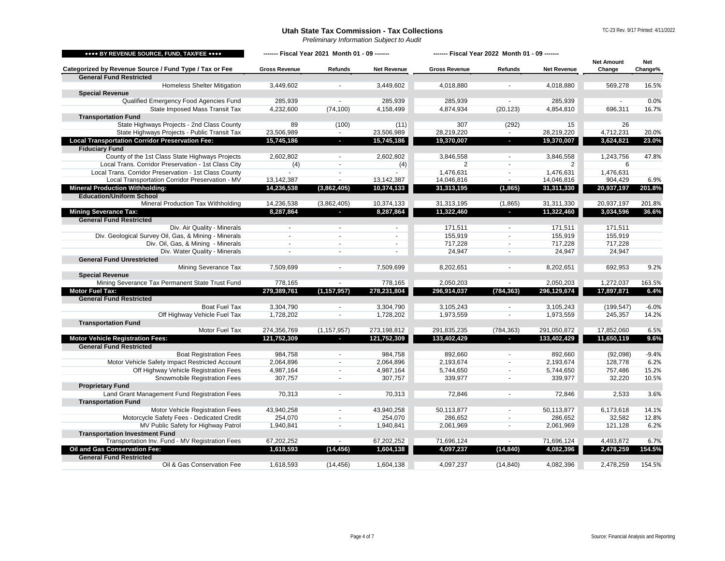<span id="page-3-5"></span><span id="page-3-4"></span><span id="page-3-3"></span><span id="page-3-2"></span><span id="page-3-1"></span><span id="page-3-0"></span>

| **** BY REVENUE SOURCE, FUND, TAX/FEE ****             | ------- Fiscal Year 2021 Month 01 - 09 ------- |                |                    | ------- Fiscal Year 2022 Month 01 - 09 ------- |                          |                    | <b>Net Amount</b> | Net     |
|--------------------------------------------------------|------------------------------------------------|----------------|--------------------|------------------------------------------------|--------------------------|--------------------|-------------------|---------|
| Categorized by Revenue Source / Fund Type / Tax or Fee | <b>Gross Revenue</b>                           | <b>Refunds</b> | <b>Net Revenue</b> | <b>Gross Revenue</b>                           | <b>Refunds</b>           | <b>Net Revenue</b> | Change            | Change% |
| <b>General Fund Restricted</b>                         |                                                |                |                    |                                                |                          |                    |                   |         |
| <b>Homeless Shelter Mitigation</b>                     | 3,449,602                                      |                | 3,449,602          | 4,018,880                                      |                          | 4,018,880          | 569,278           | 16.5%   |
| <b>Special Revenue</b>                                 |                                                |                |                    |                                                |                          |                    |                   |         |
| Qualified Emergency Food Agencies Fund                 | 285,939                                        |                | 285,939            | 285,939                                        |                          | 285,939            |                   | 0.0%    |
| State Imposed Mass Transit Tax                         | 4,232,600                                      | (74, 100)      | 4,158,499          | 4,874,934                                      | (20, 123)                | 4,854,810          | 696,311           | 16.7%   |
| <b>Transportation Fund</b>                             |                                                |                |                    |                                                |                          |                    |                   |         |
| State Highways Projects - 2nd Class County             | 89                                             | (100)          | (11)               | 307                                            | (292)                    | 15                 | 26                |         |
| State Highways Projects - Public Transit Tax           | 23,506,989                                     | $\sim$         | 23,506,989         | 28,219,220                                     | $\sim$                   | 28,219,220         | 4,712,231         | 20.0%   |
| <b>Local Transportation Corridor Preservation Fee:</b> | 15,745,186                                     | $\sim$         | 15,745,186         | 19,370,007                                     | н.                       | 19,370,007         | 3,624,821         | 23.0%   |
| <b>Fiduciary Fund</b>                                  |                                                |                |                    |                                                |                          |                    |                   |         |
| County of the 1st Class State Highways Projects        | 2,602,802                                      |                | 2,602,802          | 3,846,558                                      |                          | 3,846,558          | 1,243,756         | 47.8%   |
| Local Trans. Corridor Preservation - 1st Class City    | (4)                                            |                | (4)                | 2                                              |                          | 2                  | 6                 |         |
| Local Trans. Corridor Preservation - 1st Class County  |                                                |                |                    | 1,476,631                                      |                          | 1,476,631          | 1,476,631         |         |
| Local Transportation Corridor Preservation - MV        | 13,142,387                                     | $\sim$         | 13,142,387         | 14,046,816                                     | $\blacksquare$           | 14,046,816         | 904,429           | 6.9%    |
| <b>Mineral Production Withholding:</b>                 | 14,236,538                                     | (3,862,405)    | 10,374,133         | 31,313,195                                     | (1, 865)                 | 31,311,330         | 20,937,197        | 201.8%  |
| <b>Education/Uniform School</b>                        |                                                |                |                    |                                                |                          |                    |                   |         |
| Mineral Production Tax Withholding                     | 14,236,538                                     | (3,862,405)    | 10,374,133         | 31,313,195                                     | (1,865)                  | 31,311,330         | 20,937,197        | 201.8%  |
| <b>Mining Severance Tax:</b>                           | 8,287,864                                      | $\sim$         | 8,287,864          | 11,322,460                                     | $\sim 100$               | 11,322,460         | 3,034,596         | 36.6%   |
| <b>General Fund Restricted</b>                         |                                                |                |                    |                                                |                          |                    |                   |         |
| Div. Air Quality - Minerals                            |                                                |                |                    | 171,511                                        |                          | 171,511            | 171,511           |         |
| Div. Geological Survey Oil, Gas, & Mining - Minerals   |                                                |                |                    | 155,919                                        |                          | 155,919            | 155,919           |         |
| Div. Oil, Gas, & Mining - Minerals                     |                                                |                |                    | 717,228                                        |                          | 717,228            | 717,228           |         |
| Div. Water Quality - Minerals                          |                                                |                |                    | 24,947                                         |                          | 24,947             | 24,947            |         |
| <b>General Fund Unrestricted</b>                       |                                                |                |                    |                                                |                          |                    |                   |         |
| <b>Mining Severance Tax</b>                            | 7,509,699                                      |                | 7,509,699          | 8,202,651                                      |                          | 8,202,651          | 692,953           | 9.2%    |
| <b>Special Revenue</b>                                 |                                                |                |                    |                                                |                          |                    |                   |         |
| Mining Severance Tax Permanent State Trust Fund        | 778,165                                        |                | 778,165            | 2,050,203                                      |                          | 2,050,203          | 1,272,037         | 163.5%  |
| Motor Fuel Tax:                                        | 279,389,761                                    | (1, 157, 957)  | 278,231,804        | 296,914,037                                    | (784, 363)               | 296,129,674        | 17,897,871        | 6.4%    |
| <b>General Fund Restricted</b>                         |                                                |                |                    |                                                |                          |                    |                   |         |
| <b>Boat Fuel Tax</b>                                   | 3,304,790                                      |                | 3,304,790          | 3,105,243                                      |                          | 3,105,243          | (199, 547)        | $-6.0%$ |
| Off Highway Vehicle Fuel Tax                           | 1,728,202                                      |                |                    | 1,973,559                                      |                          |                    | 245,357           | 14.2%   |
| <b>Transportation Fund</b>                             |                                                |                | 1,728,202          |                                                |                          | 1,973,559          |                   |         |
| Motor Fuel Tax                                         | 274,356,769                                    | (1, 157, 957)  | 273,198,812        | 291,835,235                                    | (784, 363)               | 291,050,872        | 17,852,060        | 6.5%    |
| <b>Motor Vehicle Registration Fees:</b>                | 121,752,309                                    |                | 121,752,309        | 133,402,429                                    | $\sim$                   | 133,402,429        | 11,650,119        | 9.6%    |
| <b>General Fund Restricted</b>                         |                                                |                |                    |                                                |                          |                    |                   |         |
| <b>Boat Registration Fees</b>                          | 984,758                                        |                | 984,758            | 892,660                                        |                          | 892,660            | (92,098)          | $-9.4%$ |
| Motor Vehicle Safety Impact Restricted Account         | 2,064,896                                      |                | 2,064,896          | 2,193,674                                      |                          | 2,193,674          | 128,778           | 6.2%    |
| Off Highway Vehicle Registration Fees                  | 4,987,164                                      |                | 4,987,164          | 5,744,650                                      |                          | 5,744,650          | 757,486           | 15.2%   |
| <b>Snowmobile Registration Fees</b>                    | 307,757                                        |                |                    |                                                |                          | 339,977            |                   |         |
| <b>Proprietary Fund</b>                                |                                                |                | 307,757            | 339,977                                        |                          |                    | 32,220            | 10.5%   |
| Land Grant Management Fund Registration Fees           | 70,313                                         |                | 70,313             | 72,846                                         |                          |                    |                   | 3.6%    |
|                                                        |                                                |                |                    |                                                |                          | 72,846             | 2,533             |         |
| <b>Transportation Fund</b>                             |                                                |                |                    |                                                |                          |                    |                   |         |
| Motor Vehicle Registration Fees                        | 43,940,258                                     |                | 43,940,258         | 50,113,877                                     |                          | 50,113,877         | 6,173,618         | 14.1%   |
| Motorcycle Safety Fees - Dedicated Credit              | 254,070                                        | $\blacksquare$ | 254,070            | 286,652                                        | $\overline{\phantom{a}}$ | 286,652            | 32,582            | 12.8%   |
| MV Public Safety for Highway Patrol                    | 1,940,841                                      |                | 1,940,841          | 2,061,969                                      |                          | 2,061,969          | 121,128           | 6.2%    |
| <b>Transportation Investment Fund</b>                  |                                                |                |                    |                                                |                          |                    |                   |         |
| Transportation Inv. Fund - MV Registration Fees        | 67,202,252                                     |                | 67,202,252         | 71,696,124                                     |                          | 71,696,124         | 4,493,872         | 6.7%    |
| <b>Oil and Gas Conservation Fee:</b>                   | 1,618,593                                      | (14, 456)      | 1,604,138          | 4,097,237                                      | (14, 840)                | 4,082,396          | 2,478,259         | 154.5%  |
| <b>General Fund Restricted</b>                         |                                                |                |                    |                                                |                          |                    |                   |         |
| Oil & Gas Conservation Fee                             | 1,618,593                                      | (14, 456)      | 1,604,138          | 4,097,237                                      | (14, 840)                | 4,082,396          | 2,478,259         | 154.5%  |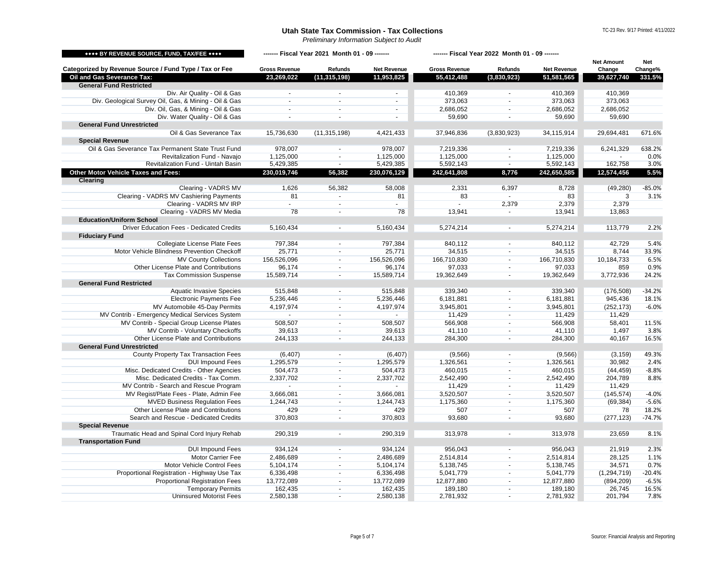<span id="page-4-1"></span><span id="page-4-0"></span>

| **** BY REVENUE SOURCE, FUND, TAX/FEE ****             | ------- Fiscal Year 2021 Month 01 - 09 ------- |                          |                    | ------- Fiscal Year 2022 Month 01 - 09 ------- |                          |                    |                             |                       |
|--------------------------------------------------------|------------------------------------------------|--------------------------|--------------------|------------------------------------------------|--------------------------|--------------------|-----------------------------|-----------------------|
| Categorized by Revenue Source / Fund Type / Tax or Fee | <b>Gross Revenue</b>                           | <b>Refunds</b>           | <b>Net Revenue</b> | <b>Gross Revenue</b>                           | <b>Refunds</b>           | <b>Net Revenue</b> | <b>Net Amount</b><br>Change | <b>Net</b><br>Change% |
| <b>Oil and Gas Severance Tax:</b>                      | 23,269,022                                     | (11, 315, 198)           | 11,953,825         | 55,412,488                                     | (3,830,923)              | 51,581,565         | 39,627,740                  | 331.5%                |
| <b>General Fund Restricted</b>                         |                                                |                          |                    |                                                |                          |                    |                             |                       |
| Div. Air Quality - Oil & Gas                           |                                                |                          | $\sim$             | 410,369                                        |                          | 410,369            | 410,369                     |                       |
| Div. Geological Survey Oil, Gas, & Mining - Oil & Gas  |                                                |                          |                    | 373,063                                        | $\sim$                   | 373,063            | 373,063                     |                       |
| Div. Oil, Gas, & Mining - Oil & Gas                    |                                                |                          | $\blacksquare$     | 2,686,052                                      | $\overline{\phantom{a}}$ | 2,686,052          | 2,686,052                   |                       |
| Div. Water Quality - Oil & Gas                         |                                                |                          |                    | 59,690                                         |                          | 59,690             | 59,690                      |                       |
| <b>General Fund Unrestricted</b>                       |                                                |                          |                    |                                                |                          |                    |                             |                       |
| Oil & Gas Severance Tax                                | 15,736,630                                     | (11, 315, 198)           | 4,421,433          | 37,946,836                                     | (3,830,923)              | 34,115,914         | 29,694,481                  | 671.6%                |
| <b>Special Revenue</b>                                 |                                                |                          |                    |                                                |                          |                    |                             |                       |
| Oil & Gas Severance Tax Permanent State Trust Fund     | 978,007                                        | $\sim$                   | 978,007            | 7,219,336                                      |                          | 7,219,336          | 6,241,329                   | 638.2%                |
| Revitalization Fund - Navajo                           | 1,125,000                                      |                          | 1,125,000          | 1,125,000                                      |                          | 1,125,000          |                             | 0.0%                  |
| Revitalization Fund - Uintah Basin                     | 5,429,385                                      | $\sim$                   | 5,429,385          | 5,592,143                                      | $\blacksquare$           | 5,592,143          | 162,758                     | 3.0%                  |
| <b>Other Motor Vehicle Taxes and Fees:</b>             | 230,019,746                                    | 56,382                   | 230,076,129        | 242,641,808                                    | 8,776                    | 242,650,585        | 12,574,456                  | 5.5%                  |
| <b>Clearing</b>                                        |                                                |                          |                    |                                                |                          |                    |                             |                       |
| Clearing - VADRS MV                                    | 1,626                                          | 56,382                   | 58,008             | 2,331                                          | 6,397                    | 8,728              | (49, 280)                   | $-85.0%$              |
| Clearing - VADRS MV Cashiering Payments                | 81                                             |                          | 81                 | 83                                             |                          | 83                 | 3                           | 3.1%                  |
| Clearing - VADRS MV IRP                                |                                                | $\sim$                   |                    |                                                | 2,379                    | 2,379              | 2,379                       |                       |
| Clearing - VADRS MV Media                              | 78                                             |                          | 78                 | 13,941                                         |                          | 13,941             | 13,863                      |                       |
| <b>Education/Uniform School</b>                        |                                                |                          |                    |                                                |                          |                    |                             |                       |
| <b>Driver Education Fees - Dedicated Credits</b>       | 5,160,434                                      |                          | 5,160,434          | 5,274,214                                      | $\blacksquare$           | 5,274,214          | 113,779                     | 2.2%                  |
| <b>Fiduciary Fund</b>                                  |                                                |                          |                    |                                                |                          |                    |                             |                       |
| <b>Collegiate License Plate Fees</b>                   | 797,384                                        |                          | 797,384            | 840,112                                        |                          | 840,112            | 42,729                      | 5.4%                  |
| Motor Vehicle Blindness Prevention Checkoff            | 25,771                                         |                          | 25,771             | 34,515                                         |                          | 34,515             | 8,744                       | 33.9%                 |
| <b>MV County Collections</b>                           | 156,526,096                                    |                          | 156,526,096        | 166,710,830                                    | $\blacksquare$           | 166,710,830        | 10,184,733                  | 6.5%                  |
| Other License Plate and Contributions                  | 96,174                                         |                          | 96,174             | 97,033                                         |                          | 97,033             | 859                         | 0.9%                  |
| <b>Tax Commission Suspense</b>                         | 15,589,714                                     |                          | 15,589,714         | 19,362,649                                     |                          | 19,362,649         | 3,772,936                   | 24.2%                 |
| <b>General Fund Restricted</b>                         |                                                |                          |                    |                                                |                          |                    |                             |                       |
| <b>Aquatic Invasive Species</b>                        | 515,848                                        |                          | 515,848            | 339,340                                        |                          | 339,340            | (176, 508)                  | $-34.2%$              |
| <b>Electronic Payments Fee</b>                         | 5,236,446                                      |                          | 5,236,446          | 6,181,881                                      | $\sim$                   | 6,181,881          | 945,436                     | 18.1%                 |
| MV Automobile 45-Day Permits                           | 4,197,974                                      | $\overline{\phantom{a}}$ | 4,197,974          | 3,945,801                                      | $\blacksquare$           | 3,945,801          | (252, 173)                  | $-6.0%$               |
| MV Contrib - Emergency Medical Services System         |                                                | $\overline{\phantom{a}}$ |                    | 11,429                                         | $\blacksquare$           | 11,429             | 11,429                      |                       |
| MV Contrib - Special Group License Plates              | 508,507                                        |                          | 508,507            | 566,908                                        |                          | 566,908            | 58,401                      | 11.5%                 |
| MV Contrib - Voluntary Checkoffs                       | 39,613                                         |                          | 39,613             | 41,110                                         |                          | 41,110             | 1,497                       | 3.8%                  |
| Other License Plate and Contributions                  | 244,133                                        |                          | 244,133            | 284,300                                        |                          | 284,300            | 40,167                      | 16.5%                 |
| <b>General Fund Unrestricted</b>                       |                                                |                          |                    |                                                |                          |                    |                             |                       |
| <b>County Property Tax Transaction Fees</b>            | (6, 407)                                       | $\sim$                   | (6, 407)           | (9, 566)                                       | $\sim$                   | (9, 566)           | (3, 159)                    | 49.3%                 |
| <b>DUI Impound Fees</b>                                | 1,295,579                                      |                          | 1,295,579          | 1,326,561                                      |                          | 1,326,561          | 30,982                      | 2.4%                  |
| Misc. Dedicated Credits - Other Agencies               | 504,473                                        |                          | 504,473            | 460,015                                        |                          | 460,015            | (44, 459)                   | $-8.8%$               |
| Misc. Dedicated Credits - Tax Comm.                    | 2,337,702                                      | $\overline{\phantom{a}}$ | 2,337,702          | 2,542,490                                      | $\overline{\phantom{a}}$ | 2,542,490          | 204,789                     | 8.8%                  |
| MV Contrib - Search and Rescue Program                 |                                                |                          |                    | 11,429                                         |                          | 11,429             | 11,429                      |                       |
| MV Regist/Plate Fees - Plate, Admin Fee                | 3,666,081                                      | $\sim$                   | 3,666,081          | 3,520,507                                      | $\overline{\phantom{a}}$ | 3,520,507          | (145, 574)                  | $-4.0%$               |
| <b>MVED Business Regulation Fees</b>                   | 1,244,743                                      |                          | 1,244,743          | 1,175,360                                      | $\blacksquare$           | 1,175,360          | (69, 384)                   | $-5.6%$               |
| Other License Plate and Contributions                  | 429                                            | $\overline{\phantom{a}}$ | 429                | 507                                            | $\blacksquare$           | 507                | 78                          | 18.2%                 |
| Search and Rescue - Dedicated Credits                  | 370,803                                        | $\overline{\phantom{a}}$ | 370,803            | 93,680                                         | $\overline{\phantom{a}}$ | 93,680             | (277, 123)                  | $-74.7%$              |
| <b>Special Revenue</b>                                 |                                                |                          |                    |                                                |                          |                    |                             |                       |
| Traumatic Head and Spinal Cord Injury Rehab            | 290,319                                        |                          | 290,319            | 313,978                                        |                          | 313,978            | 23,659                      | 8.1%                  |
| <b>Transportation Fund</b>                             |                                                |                          |                    |                                                |                          |                    |                             |                       |
| <b>DUI Impound Fees</b>                                | 934,124                                        |                          | 934,124            | 956,043                                        |                          | 956,043            | 21,919                      | 2.3%                  |
| Motor Carrier Fee                                      | 2,486,689                                      |                          | 2,486,689          | 2,514,814                                      |                          | 2,514,814          | 28,125                      | 1.1%                  |
| Motor Vehicle Control Fees                             | 5,104,174                                      |                          | 5,104,174          | 5,138,745                                      | $\overline{\phantom{a}}$ | 5,138,745          | 34,571                      | 0.7%                  |
| Proportional Registration - Highway Use Tax            | 6,336,498                                      | $\overline{\phantom{a}}$ | 6,336,498          | 5,041,779                                      |                          | 5,041,779          | (1, 294, 719)               | $-20.4%$              |
| <b>Proportional Registration Fees</b>                  | 13,772,089                                     |                          | 13,772,089         | 12,877,880                                     | $\blacksquare$           | 12,877,880         | (894, 209)                  | $-6.5%$               |
| <b>Temporary Permits</b>                               |                                                | $\overline{\phantom{a}}$ |                    | 189,180                                        |                          | 189,180            |                             | 16.5%                 |
| <b>Uninsured Motorist Fees</b>                         | 162,435                                        |                          | 162,435            |                                                | $\overline{\phantom{a}}$ |                    | 26,745                      |                       |
|                                                        | 2,580,138                                      | $\sim$                   | 2,580,138          | 2,781,932                                      | $\sim$                   | 2,781,932          | 201,794                     | 7.8%                  |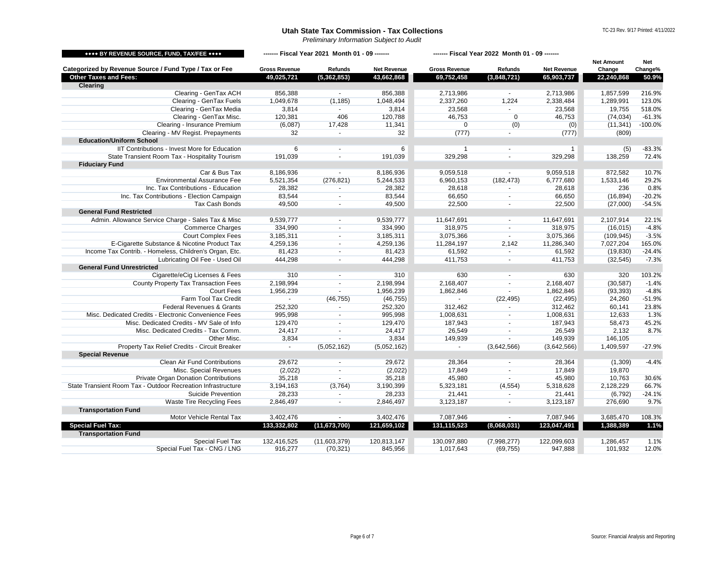<span id="page-5-1"></span><span id="page-5-0"></span>

| Categorized by Revenue Source / Fund Type / Tax or Fee<br><b>Gross Revenue</b><br><b>Refunds</b><br><b>Net Revenue</b><br><b>Gross Revenue</b><br><b>Net Revenue</b><br>Change<br>Change%<br><b>Refunds</b><br><b>Other Taxes and Fees:</b><br>(5, 362, 853)<br>43,662,868<br>(3,848,721)<br>49,025,721<br>69,752,458<br>65,903,737<br>22,240,868<br>50.9%<br><b>Clearing</b><br>Clearing - GenTax ACH<br>856,388<br>2,713,986<br>216.9%<br>856,388<br>2,713,986<br>1,857,599<br>$\blacksquare$<br>Clearing - GenTax Fuels<br>1,224<br>123.0%<br>1,049,678<br>1,048,494<br>2,337,260<br>2,338,484<br>1,289,991<br>(1, 185)<br>Clearing - GenTax Media<br>3,814<br>23,568<br>23,568<br>19,755<br>518.0%<br>3,814<br>Clearing - GenTax Misc.<br>$-61.3%$<br>120,381<br>406<br>120,788<br>46,753<br>46,753<br>(74, 034)<br>$\mathbf 0$<br>Clearing - Insurance Premium<br>$-100.0%$<br>(6,087)<br>17,428<br>11,341<br>(0)<br>(0)<br>(11, 341)<br>0<br>Clearing - MV Regist. Prepayments<br>32<br>32<br>(809)<br>(777)<br>(777)<br><b>Education/Uniform School</b><br>IIT Contributions - Invest More for Education<br>6<br>$-83.3%$<br>6<br>(5)<br>$\sim$<br>State Transient Room Tax - Hospitality Tourism<br>191,039<br>191,039<br>329,298<br>329,298<br>138,259<br>72.4%<br><b>Fiduciary Fund</b><br>Car & Bus Tax<br>8,186,936<br>9,059,518<br>9,059,518<br>10.7%<br>8,186,936<br>872,582<br><b>Environmental Assurance Fee</b><br>5,521,354<br>(276, 821)<br>5,244,533<br>6,960,153<br>(182, 473)<br>6,777,680<br>1,533,146<br>29.2%<br>0.8%<br>Inc. Tax Contributions - Education<br>28,382<br>28,382<br>28,618<br>28,618<br>236<br>Inc. Tax Contributions - Election Campaign<br>83,544<br>$-20.2%$<br>83,544<br>66,650<br>66,650<br>(16, 894)<br><b>Tax Cash Bonds</b><br>$-54.5%$<br>49,500<br>49,500<br>22,500<br>22,500<br>(27,000)<br><b>General Fund Restricted</b><br>Admin. Allowance Service Charge - Sales Tax & Misc<br>9,539,777<br>9,539,777<br>11,647,691<br>11,647,691<br>2,107,914<br>22.1%<br>$\blacksquare$<br>$-4.8%$<br><b>Commerce Charges</b><br>318,975<br>334,990<br>334,990<br>318,975<br>(16, 015)<br>$\sim$<br><b>Court Complex Fees</b><br>$-3.5%$<br>3,075,366<br>3,185,311<br>3,185,311<br>3,075,366<br>(109, 945)<br>$\blacksquare$<br>$\overline{\phantom{a}}$<br>E-Cigarette Substance & Nicotine Product Tax<br>4,259,136<br>11,284,197<br>2,142<br>11,286,340<br>165.0%<br>4,259,136<br>7,027,204<br>Income Tax Contrib. - Homeless, Children's Organ, Etc.<br>81,423<br>81,423<br>61,592<br>61,592<br>(19, 830)<br>$-24.4%$<br>Lubricating Oil Fee - Used Oil<br>444,298<br>444,298<br>411,753<br>$-7.3%$<br>411,753<br>(32, 545)<br><b>General Fund Unrestricted</b><br>Cigarette/eCig Licenses & Fees<br>103.2%<br>310<br>310<br>630<br>630<br>320<br><b>County Property Tax Transaction Fees</b><br>$-1.4%$<br>2,198,994<br>2,198,994<br>2,168,407<br>2,168,407<br>(30, 587)<br>$-4.8%$<br><b>Court Fees</b><br>1,956,239<br>1,956,239<br>1,862,846<br>1,862,846<br>(93, 393)<br>Farm Tool Tax Credit<br>24,260<br>$-51.9%$<br>(46, 755)<br>(46, 755)<br>(22, 495)<br>(22, 495)<br>$\sim$<br><b>Federal Revenues &amp; Grants</b><br>252,320<br>312,462<br>60,141<br>23.8%<br>252,320<br>312,462<br>Misc. Dedicated Credits - Electronic Convenience Fees<br>995,998<br>995,998<br>1,008,631<br>12,633<br>1.3%<br>1,008,631<br>129,470<br>129,470<br>187,943<br>187,943<br>58,473<br>45.2%<br>Misc. Dedicated Credits - MV Sale of Info<br>Misc. Dedicated Credits - Tax Comm.<br>2,132<br>24,417<br>24,417<br>26,549<br>26,549<br>8.7%<br>Other Misc.<br>3,834<br>3,834<br>149,939<br>149,939<br>146,105<br>Property Tax Relief Credits - Circuit Breaker<br>(5,052,162)<br>(5,052,162)<br>(3,642,566)<br>1,409,597<br>(3,642,566)<br>$-27.9%$<br>$\sim$<br><b>Special Revenue</b><br><b>Clean Air Fund Contributions</b><br>29,672<br>29,672<br>28,364<br>28,364<br>$-4.4%$<br>(1,309)<br>Misc. Special Revenues<br>(2,022)<br>(2,022)<br>17,849<br>17,849<br>19,870<br><b>Private Organ Donation Contributions</b><br>35,218<br>35,218<br>45,980<br>45,980<br>10,763<br>30.6%<br>State Transient Room Tax - Outdoor Recreation Infrastructure<br>3,190,399<br>2,128,229<br>66.7%<br>3,194,163<br>(3,764)<br>5,323,181<br>(4, 554)<br>5,318,628<br><b>Suicide Prevention</b><br>28,233<br>(6, 792)<br>28,233<br>21,441<br>21,441<br>$-24.1%$<br>Waste Tire Recycling Fees<br>9.7%<br>2,846,497<br>2,846,497<br>3,123,187<br>3,123,187<br>276,690<br><b>Transportation Fund</b><br>Motor Vehicle Rental Tax<br>3,402,476<br>7,087,946<br>7,087,946<br>3,402,476<br>3,685,470<br>108.3%<br>1.1%<br><b>Special Fuel Tax:</b><br>(11, 673, 700)<br>121,659,102<br>131,115,523<br>123,047,491<br>133,332,802<br>(8,068,031)<br>1,388,389<br><b>Transportation Fund</b><br>Special Fuel Tax<br>130,097,880<br>132,416,525<br>(11,603,379)<br>120,813,147<br>(7,998,277)<br>122,099,603<br>1,286,457<br>1.1%<br>Special Fuel Tax - CNG / LNG<br>916,277<br>1,017,643<br>947,888<br>12.0%<br>(70, 321)<br>845,956<br>(69, 755)<br>101,932 | **** BY REVENUE SOURCE, FUND, TAX/FEE **** | ------- Fiscal Year 2021 Month 01 - 09 ------- |  |  | ------- Fiscal Year 2022 Month 01 - 09 ------- |  |  | <b>Net Amount</b> | <b>Net</b> |
|--------------------------------------------------------------------------------------------------------------------------------------------------------------------------------------------------------------------------------------------------------------------------------------------------------------------------------------------------------------------------------------------------------------------------------------------------------------------------------------------------------------------------------------------------------------------------------------------------------------------------------------------------------------------------------------------------------------------------------------------------------------------------------------------------------------------------------------------------------------------------------------------------------------------------------------------------------------------------------------------------------------------------------------------------------------------------------------------------------------------------------------------------------------------------------------------------------------------------------------------------------------------------------------------------------------------------------------------------------------------------------------------------------------------------------------------------------------------------------------------------------------------------------------------------------------------------------------------------------------------------------------------------------------------------------------------------------------------------------------------------------------------------------------------------------------------------------------------------------------------------------------------------------------------------------------------------------------------------------------------------------------------------------------------------------------------------------------------------------------------------------------------------------------------------------------------------------------------------------------------------------------------------------------------------------------------------------------------------------------------------------------------------------------------------------------------------------------------------------------------------------------------------------------------------------------------------------------------------------------------------------------------------------------------------------------------------------------------------------------------------------------------------------------------------------------------------------------------------------------------------------------------------------------------------------------------------------------------------------------------------------------------------------------------------------------------------------------------------------------------------------------------------------------------------------------------------------------------------------------------------------------------------------------------------------------------------------------------------------------------------------------------------------------------------------------------------------------------------------------------------------------------------------------------------------------------------------------------------------------------------------------------------------------------------------------------------------------------------------------------------------------------------------------------------------------------------------------------------------------------------------------------------------------------------------------------------------------------------------------------------------------------------------------------------------------------------------------------------------------------------------------------------------------------------------------------------------------------------------------------------------------------------------------------------------------------------------------------------------------------------------------------------------------------------------------------------------------------------------------------------------------------------------------------------------------------------------------------------------------------------------------------------------------------------------------------------------------------------------------------------------------------------------------------------------------------------------------------------------------------------------------------------------------------------------------------------------------------------------------------------------------------------------------------------------------------------------|--------------------------------------------|------------------------------------------------|--|--|------------------------------------------------|--|--|-------------------|------------|
|                                                                                                                                                                                                                                                                                                                                                                                                                                                                                                                                                                                                                                                                                                                                                                                                                                                                                                                                                                                                                                                                                                                                                                                                                                                                                                                                                                                                                                                                                                                                                                                                                                                                                                                                                                                                                                                                                                                                                                                                                                                                                                                                                                                                                                                                                                                                                                                                                                                                                                                                                                                                                                                                                                                                                                                                                                                                                                                                                                                                                                                                                                                                                                                                                                                                                                                                                                                                                                                                                                                                                                                                                                                                                                                                                                                                                                                                                                                                                                                                                                                                                                                                                                                                                                                                                                                                                                                                                                                                                                                                                                                                                                                                                                                                                                                                                                                                                                                                                                                                                                                                                |                                            |                                                |  |  |                                                |  |  |                   |            |
|                                                                                                                                                                                                                                                                                                                                                                                                                                                                                                                                                                                                                                                                                                                                                                                                                                                                                                                                                                                                                                                                                                                                                                                                                                                                                                                                                                                                                                                                                                                                                                                                                                                                                                                                                                                                                                                                                                                                                                                                                                                                                                                                                                                                                                                                                                                                                                                                                                                                                                                                                                                                                                                                                                                                                                                                                                                                                                                                                                                                                                                                                                                                                                                                                                                                                                                                                                                                                                                                                                                                                                                                                                                                                                                                                                                                                                                                                                                                                                                                                                                                                                                                                                                                                                                                                                                                                                                                                                                                                                                                                                                                                                                                                                                                                                                                                                                                                                                                                                                                                                                                                |                                            |                                                |  |  |                                                |  |  |                   |            |
|                                                                                                                                                                                                                                                                                                                                                                                                                                                                                                                                                                                                                                                                                                                                                                                                                                                                                                                                                                                                                                                                                                                                                                                                                                                                                                                                                                                                                                                                                                                                                                                                                                                                                                                                                                                                                                                                                                                                                                                                                                                                                                                                                                                                                                                                                                                                                                                                                                                                                                                                                                                                                                                                                                                                                                                                                                                                                                                                                                                                                                                                                                                                                                                                                                                                                                                                                                                                                                                                                                                                                                                                                                                                                                                                                                                                                                                                                                                                                                                                                                                                                                                                                                                                                                                                                                                                                                                                                                                                                                                                                                                                                                                                                                                                                                                                                                                                                                                                                                                                                                                                                |                                            |                                                |  |  |                                                |  |  |                   |            |
|                                                                                                                                                                                                                                                                                                                                                                                                                                                                                                                                                                                                                                                                                                                                                                                                                                                                                                                                                                                                                                                                                                                                                                                                                                                                                                                                                                                                                                                                                                                                                                                                                                                                                                                                                                                                                                                                                                                                                                                                                                                                                                                                                                                                                                                                                                                                                                                                                                                                                                                                                                                                                                                                                                                                                                                                                                                                                                                                                                                                                                                                                                                                                                                                                                                                                                                                                                                                                                                                                                                                                                                                                                                                                                                                                                                                                                                                                                                                                                                                                                                                                                                                                                                                                                                                                                                                                                                                                                                                                                                                                                                                                                                                                                                                                                                                                                                                                                                                                                                                                                                                                |                                            |                                                |  |  |                                                |  |  |                   |            |
|                                                                                                                                                                                                                                                                                                                                                                                                                                                                                                                                                                                                                                                                                                                                                                                                                                                                                                                                                                                                                                                                                                                                                                                                                                                                                                                                                                                                                                                                                                                                                                                                                                                                                                                                                                                                                                                                                                                                                                                                                                                                                                                                                                                                                                                                                                                                                                                                                                                                                                                                                                                                                                                                                                                                                                                                                                                                                                                                                                                                                                                                                                                                                                                                                                                                                                                                                                                                                                                                                                                                                                                                                                                                                                                                                                                                                                                                                                                                                                                                                                                                                                                                                                                                                                                                                                                                                                                                                                                                                                                                                                                                                                                                                                                                                                                                                                                                                                                                                                                                                                                                                |                                            |                                                |  |  |                                                |  |  |                   |            |
|                                                                                                                                                                                                                                                                                                                                                                                                                                                                                                                                                                                                                                                                                                                                                                                                                                                                                                                                                                                                                                                                                                                                                                                                                                                                                                                                                                                                                                                                                                                                                                                                                                                                                                                                                                                                                                                                                                                                                                                                                                                                                                                                                                                                                                                                                                                                                                                                                                                                                                                                                                                                                                                                                                                                                                                                                                                                                                                                                                                                                                                                                                                                                                                                                                                                                                                                                                                                                                                                                                                                                                                                                                                                                                                                                                                                                                                                                                                                                                                                                                                                                                                                                                                                                                                                                                                                                                                                                                                                                                                                                                                                                                                                                                                                                                                                                                                                                                                                                                                                                                                                                |                                            |                                                |  |  |                                                |  |  |                   |            |
|                                                                                                                                                                                                                                                                                                                                                                                                                                                                                                                                                                                                                                                                                                                                                                                                                                                                                                                                                                                                                                                                                                                                                                                                                                                                                                                                                                                                                                                                                                                                                                                                                                                                                                                                                                                                                                                                                                                                                                                                                                                                                                                                                                                                                                                                                                                                                                                                                                                                                                                                                                                                                                                                                                                                                                                                                                                                                                                                                                                                                                                                                                                                                                                                                                                                                                                                                                                                                                                                                                                                                                                                                                                                                                                                                                                                                                                                                                                                                                                                                                                                                                                                                                                                                                                                                                                                                                                                                                                                                                                                                                                                                                                                                                                                                                                                                                                                                                                                                                                                                                                                                |                                            |                                                |  |  |                                                |  |  |                   |            |
|                                                                                                                                                                                                                                                                                                                                                                                                                                                                                                                                                                                                                                                                                                                                                                                                                                                                                                                                                                                                                                                                                                                                                                                                                                                                                                                                                                                                                                                                                                                                                                                                                                                                                                                                                                                                                                                                                                                                                                                                                                                                                                                                                                                                                                                                                                                                                                                                                                                                                                                                                                                                                                                                                                                                                                                                                                                                                                                                                                                                                                                                                                                                                                                                                                                                                                                                                                                                                                                                                                                                                                                                                                                                                                                                                                                                                                                                                                                                                                                                                                                                                                                                                                                                                                                                                                                                                                                                                                                                                                                                                                                                                                                                                                                                                                                                                                                                                                                                                                                                                                                                                |                                            |                                                |  |  |                                                |  |  |                   |            |
|                                                                                                                                                                                                                                                                                                                                                                                                                                                                                                                                                                                                                                                                                                                                                                                                                                                                                                                                                                                                                                                                                                                                                                                                                                                                                                                                                                                                                                                                                                                                                                                                                                                                                                                                                                                                                                                                                                                                                                                                                                                                                                                                                                                                                                                                                                                                                                                                                                                                                                                                                                                                                                                                                                                                                                                                                                                                                                                                                                                                                                                                                                                                                                                                                                                                                                                                                                                                                                                                                                                                                                                                                                                                                                                                                                                                                                                                                                                                                                                                                                                                                                                                                                                                                                                                                                                                                                                                                                                                                                                                                                                                                                                                                                                                                                                                                                                                                                                                                                                                                                                                                |                                            |                                                |  |  |                                                |  |  |                   |            |
|                                                                                                                                                                                                                                                                                                                                                                                                                                                                                                                                                                                                                                                                                                                                                                                                                                                                                                                                                                                                                                                                                                                                                                                                                                                                                                                                                                                                                                                                                                                                                                                                                                                                                                                                                                                                                                                                                                                                                                                                                                                                                                                                                                                                                                                                                                                                                                                                                                                                                                                                                                                                                                                                                                                                                                                                                                                                                                                                                                                                                                                                                                                                                                                                                                                                                                                                                                                                                                                                                                                                                                                                                                                                                                                                                                                                                                                                                                                                                                                                                                                                                                                                                                                                                                                                                                                                                                                                                                                                                                                                                                                                                                                                                                                                                                                                                                                                                                                                                                                                                                                                                |                                            |                                                |  |  |                                                |  |  |                   |            |
|                                                                                                                                                                                                                                                                                                                                                                                                                                                                                                                                                                                                                                                                                                                                                                                                                                                                                                                                                                                                                                                                                                                                                                                                                                                                                                                                                                                                                                                                                                                                                                                                                                                                                                                                                                                                                                                                                                                                                                                                                                                                                                                                                                                                                                                                                                                                                                                                                                                                                                                                                                                                                                                                                                                                                                                                                                                                                                                                                                                                                                                                                                                                                                                                                                                                                                                                                                                                                                                                                                                                                                                                                                                                                                                                                                                                                                                                                                                                                                                                                                                                                                                                                                                                                                                                                                                                                                                                                                                                                                                                                                                                                                                                                                                                                                                                                                                                                                                                                                                                                                                                                |                                            |                                                |  |  |                                                |  |  |                   |            |
|                                                                                                                                                                                                                                                                                                                                                                                                                                                                                                                                                                                                                                                                                                                                                                                                                                                                                                                                                                                                                                                                                                                                                                                                                                                                                                                                                                                                                                                                                                                                                                                                                                                                                                                                                                                                                                                                                                                                                                                                                                                                                                                                                                                                                                                                                                                                                                                                                                                                                                                                                                                                                                                                                                                                                                                                                                                                                                                                                                                                                                                                                                                                                                                                                                                                                                                                                                                                                                                                                                                                                                                                                                                                                                                                                                                                                                                                                                                                                                                                                                                                                                                                                                                                                                                                                                                                                                                                                                                                                                                                                                                                                                                                                                                                                                                                                                                                                                                                                                                                                                                                                |                                            |                                                |  |  |                                                |  |  |                   |            |
|                                                                                                                                                                                                                                                                                                                                                                                                                                                                                                                                                                                                                                                                                                                                                                                                                                                                                                                                                                                                                                                                                                                                                                                                                                                                                                                                                                                                                                                                                                                                                                                                                                                                                                                                                                                                                                                                                                                                                                                                                                                                                                                                                                                                                                                                                                                                                                                                                                                                                                                                                                                                                                                                                                                                                                                                                                                                                                                                                                                                                                                                                                                                                                                                                                                                                                                                                                                                                                                                                                                                                                                                                                                                                                                                                                                                                                                                                                                                                                                                                                                                                                                                                                                                                                                                                                                                                                                                                                                                                                                                                                                                                                                                                                                                                                                                                                                                                                                                                                                                                                                                                |                                            |                                                |  |  |                                                |  |  |                   |            |
|                                                                                                                                                                                                                                                                                                                                                                                                                                                                                                                                                                                                                                                                                                                                                                                                                                                                                                                                                                                                                                                                                                                                                                                                                                                                                                                                                                                                                                                                                                                                                                                                                                                                                                                                                                                                                                                                                                                                                                                                                                                                                                                                                                                                                                                                                                                                                                                                                                                                                                                                                                                                                                                                                                                                                                                                                                                                                                                                                                                                                                                                                                                                                                                                                                                                                                                                                                                                                                                                                                                                                                                                                                                                                                                                                                                                                                                                                                                                                                                                                                                                                                                                                                                                                                                                                                                                                                                                                                                                                                                                                                                                                                                                                                                                                                                                                                                                                                                                                                                                                                                                                |                                            |                                                |  |  |                                                |  |  |                   |            |
|                                                                                                                                                                                                                                                                                                                                                                                                                                                                                                                                                                                                                                                                                                                                                                                                                                                                                                                                                                                                                                                                                                                                                                                                                                                                                                                                                                                                                                                                                                                                                                                                                                                                                                                                                                                                                                                                                                                                                                                                                                                                                                                                                                                                                                                                                                                                                                                                                                                                                                                                                                                                                                                                                                                                                                                                                                                                                                                                                                                                                                                                                                                                                                                                                                                                                                                                                                                                                                                                                                                                                                                                                                                                                                                                                                                                                                                                                                                                                                                                                                                                                                                                                                                                                                                                                                                                                                                                                                                                                                                                                                                                                                                                                                                                                                                                                                                                                                                                                                                                                                                                                |                                            |                                                |  |  |                                                |  |  |                   |            |
|                                                                                                                                                                                                                                                                                                                                                                                                                                                                                                                                                                                                                                                                                                                                                                                                                                                                                                                                                                                                                                                                                                                                                                                                                                                                                                                                                                                                                                                                                                                                                                                                                                                                                                                                                                                                                                                                                                                                                                                                                                                                                                                                                                                                                                                                                                                                                                                                                                                                                                                                                                                                                                                                                                                                                                                                                                                                                                                                                                                                                                                                                                                                                                                                                                                                                                                                                                                                                                                                                                                                                                                                                                                                                                                                                                                                                                                                                                                                                                                                                                                                                                                                                                                                                                                                                                                                                                                                                                                                                                                                                                                                                                                                                                                                                                                                                                                                                                                                                                                                                                                                                |                                            |                                                |  |  |                                                |  |  |                   |            |
|                                                                                                                                                                                                                                                                                                                                                                                                                                                                                                                                                                                                                                                                                                                                                                                                                                                                                                                                                                                                                                                                                                                                                                                                                                                                                                                                                                                                                                                                                                                                                                                                                                                                                                                                                                                                                                                                                                                                                                                                                                                                                                                                                                                                                                                                                                                                                                                                                                                                                                                                                                                                                                                                                                                                                                                                                                                                                                                                                                                                                                                                                                                                                                                                                                                                                                                                                                                                                                                                                                                                                                                                                                                                                                                                                                                                                                                                                                                                                                                                                                                                                                                                                                                                                                                                                                                                                                                                                                                                                                                                                                                                                                                                                                                                                                                                                                                                                                                                                                                                                                                                                |                                            |                                                |  |  |                                                |  |  |                   |            |
|                                                                                                                                                                                                                                                                                                                                                                                                                                                                                                                                                                                                                                                                                                                                                                                                                                                                                                                                                                                                                                                                                                                                                                                                                                                                                                                                                                                                                                                                                                                                                                                                                                                                                                                                                                                                                                                                                                                                                                                                                                                                                                                                                                                                                                                                                                                                                                                                                                                                                                                                                                                                                                                                                                                                                                                                                                                                                                                                                                                                                                                                                                                                                                                                                                                                                                                                                                                                                                                                                                                                                                                                                                                                                                                                                                                                                                                                                                                                                                                                                                                                                                                                                                                                                                                                                                                                                                                                                                                                                                                                                                                                                                                                                                                                                                                                                                                                                                                                                                                                                                                                                |                                            |                                                |  |  |                                                |  |  |                   |            |
|                                                                                                                                                                                                                                                                                                                                                                                                                                                                                                                                                                                                                                                                                                                                                                                                                                                                                                                                                                                                                                                                                                                                                                                                                                                                                                                                                                                                                                                                                                                                                                                                                                                                                                                                                                                                                                                                                                                                                                                                                                                                                                                                                                                                                                                                                                                                                                                                                                                                                                                                                                                                                                                                                                                                                                                                                                                                                                                                                                                                                                                                                                                                                                                                                                                                                                                                                                                                                                                                                                                                                                                                                                                                                                                                                                                                                                                                                                                                                                                                                                                                                                                                                                                                                                                                                                                                                                                                                                                                                                                                                                                                                                                                                                                                                                                                                                                                                                                                                                                                                                                                                |                                            |                                                |  |  |                                                |  |  |                   |            |
|                                                                                                                                                                                                                                                                                                                                                                                                                                                                                                                                                                                                                                                                                                                                                                                                                                                                                                                                                                                                                                                                                                                                                                                                                                                                                                                                                                                                                                                                                                                                                                                                                                                                                                                                                                                                                                                                                                                                                                                                                                                                                                                                                                                                                                                                                                                                                                                                                                                                                                                                                                                                                                                                                                                                                                                                                                                                                                                                                                                                                                                                                                                                                                                                                                                                                                                                                                                                                                                                                                                                                                                                                                                                                                                                                                                                                                                                                                                                                                                                                                                                                                                                                                                                                                                                                                                                                                                                                                                                                                                                                                                                                                                                                                                                                                                                                                                                                                                                                                                                                                                                                |                                            |                                                |  |  |                                                |  |  |                   |            |
|                                                                                                                                                                                                                                                                                                                                                                                                                                                                                                                                                                                                                                                                                                                                                                                                                                                                                                                                                                                                                                                                                                                                                                                                                                                                                                                                                                                                                                                                                                                                                                                                                                                                                                                                                                                                                                                                                                                                                                                                                                                                                                                                                                                                                                                                                                                                                                                                                                                                                                                                                                                                                                                                                                                                                                                                                                                                                                                                                                                                                                                                                                                                                                                                                                                                                                                                                                                                                                                                                                                                                                                                                                                                                                                                                                                                                                                                                                                                                                                                                                                                                                                                                                                                                                                                                                                                                                                                                                                                                                                                                                                                                                                                                                                                                                                                                                                                                                                                                                                                                                                                                |                                            |                                                |  |  |                                                |  |  |                   |            |
|                                                                                                                                                                                                                                                                                                                                                                                                                                                                                                                                                                                                                                                                                                                                                                                                                                                                                                                                                                                                                                                                                                                                                                                                                                                                                                                                                                                                                                                                                                                                                                                                                                                                                                                                                                                                                                                                                                                                                                                                                                                                                                                                                                                                                                                                                                                                                                                                                                                                                                                                                                                                                                                                                                                                                                                                                                                                                                                                                                                                                                                                                                                                                                                                                                                                                                                                                                                                                                                                                                                                                                                                                                                                                                                                                                                                                                                                                                                                                                                                                                                                                                                                                                                                                                                                                                                                                                                                                                                                                                                                                                                                                                                                                                                                                                                                                                                                                                                                                                                                                                                                                |                                            |                                                |  |  |                                                |  |  |                   |            |
|                                                                                                                                                                                                                                                                                                                                                                                                                                                                                                                                                                                                                                                                                                                                                                                                                                                                                                                                                                                                                                                                                                                                                                                                                                                                                                                                                                                                                                                                                                                                                                                                                                                                                                                                                                                                                                                                                                                                                                                                                                                                                                                                                                                                                                                                                                                                                                                                                                                                                                                                                                                                                                                                                                                                                                                                                                                                                                                                                                                                                                                                                                                                                                                                                                                                                                                                                                                                                                                                                                                                                                                                                                                                                                                                                                                                                                                                                                                                                                                                                                                                                                                                                                                                                                                                                                                                                                                                                                                                                                                                                                                                                                                                                                                                                                                                                                                                                                                                                                                                                                                                                |                                            |                                                |  |  |                                                |  |  |                   |            |
|                                                                                                                                                                                                                                                                                                                                                                                                                                                                                                                                                                                                                                                                                                                                                                                                                                                                                                                                                                                                                                                                                                                                                                                                                                                                                                                                                                                                                                                                                                                                                                                                                                                                                                                                                                                                                                                                                                                                                                                                                                                                                                                                                                                                                                                                                                                                                                                                                                                                                                                                                                                                                                                                                                                                                                                                                                                                                                                                                                                                                                                                                                                                                                                                                                                                                                                                                                                                                                                                                                                                                                                                                                                                                                                                                                                                                                                                                                                                                                                                                                                                                                                                                                                                                                                                                                                                                                                                                                                                                                                                                                                                                                                                                                                                                                                                                                                                                                                                                                                                                                                                                |                                            |                                                |  |  |                                                |  |  |                   |            |
|                                                                                                                                                                                                                                                                                                                                                                                                                                                                                                                                                                                                                                                                                                                                                                                                                                                                                                                                                                                                                                                                                                                                                                                                                                                                                                                                                                                                                                                                                                                                                                                                                                                                                                                                                                                                                                                                                                                                                                                                                                                                                                                                                                                                                                                                                                                                                                                                                                                                                                                                                                                                                                                                                                                                                                                                                                                                                                                                                                                                                                                                                                                                                                                                                                                                                                                                                                                                                                                                                                                                                                                                                                                                                                                                                                                                                                                                                                                                                                                                                                                                                                                                                                                                                                                                                                                                                                                                                                                                                                                                                                                                                                                                                                                                                                                                                                                                                                                                                                                                                                                                                |                                            |                                                |  |  |                                                |  |  |                   |            |
|                                                                                                                                                                                                                                                                                                                                                                                                                                                                                                                                                                                                                                                                                                                                                                                                                                                                                                                                                                                                                                                                                                                                                                                                                                                                                                                                                                                                                                                                                                                                                                                                                                                                                                                                                                                                                                                                                                                                                                                                                                                                                                                                                                                                                                                                                                                                                                                                                                                                                                                                                                                                                                                                                                                                                                                                                                                                                                                                                                                                                                                                                                                                                                                                                                                                                                                                                                                                                                                                                                                                                                                                                                                                                                                                                                                                                                                                                                                                                                                                                                                                                                                                                                                                                                                                                                                                                                                                                                                                                                                                                                                                                                                                                                                                                                                                                                                                                                                                                                                                                                                                                |                                            |                                                |  |  |                                                |  |  |                   |            |
|                                                                                                                                                                                                                                                                                                                                                                                                                                                                                                                                                                                                                                                                                                                                                                                                                                                                                                                                                                                                                                                                                                                                                                                                                                                                                                                                                                                                                                                                                                                                                                                                                                                                                                                                                                                                                                                                                                                                                                                                                                                                                                                                                                                                                                                                                                                                                                                                                                                                                                                                                                                                                                                                                                                                                                                                                                                                                                                                                                                                                                                                                                                                                                                                                                                                                                                                                                                                                                                                                                                                                                                                                                                                                                                                                                                                                                                                                                                                                                                                                                                                                                                                                                                                                                                                                                                                                                                                                                                                                                                                                                                                                                                                                                                                                                                                                                                                                                                                                                                                                                                                                |                                            |                                                |  |  |                                                |  |  |                   |            |
|                                                                                                                                                                                                                                                                                                                                                                                                                                                                                                                                                                                                                                                                                                                                                                                                                                                                                                                                                                                                                                                                                                                                                                                                                                                                                                                                                                                                                                                                                                                                                                                                                                                                                                                                                                                                                                                                                                                                                                                                                                                                                                                                                                                                                                                                                                                                                                                                                                                                                                                                                                                                                                                                                                                                                                                                                                                                                                                                                                                                                                                                                                                                                                                                                                                                                                                                                                                                                                                                                                                                                                                                                                                                                                                                                                                                                                                                                                                                                                                                                                                                                                                                                                                                                                                                                                                                                                                                                                                                                                                                                                                                                                                                                                                                                                                                                                                                                                                                                                                                                                                                                |                                            |                                                |  |  |                                                |  |  |                   |            |
|                                                                                                                                                                                                                                                                                                                                                                                                                                                                                                                                                                                                                                                                                                                                                                                                                                                                                                                                                                                                                                                                                                                                                                                                                                                                                                                                                                                                                                                                                                                                                                                                                                                                                                                                                                                                                                                                                                                                                                                                                                                                                                                                                                                                                                                                                                                                                                                                                                                                                                                                                                                                                                                                                                                                                                                                                                                                                                                                                                                                                                                                                                                                                                                                                                                                                                                                                                                                                                                                                                                                                                                                                                                                                                                                                                                                                                                                                                                                                                                                                                                                                                                                                                                                                                                                                                                                                                                                                                                                                                                                                                                                                                                                                                                                                                                                                                                                                                                                                                                                                                                                                |                                            |                                                |  |  |                                                |  |  |                   |            |
|                                                                                                                                                                                                                                                                                                                                                                                                                                                                                                                                                                                                                                                                                                                                                                                                                                                                                                                                                                                                                                                                                                                                                                                                                                                                                                                                                                                                                                                                                                                                                                                                                                                                                                                                                                                                                                                                                                                                                                                                                                                                                                                                                                                                                                                                                                                                                                                                                                                                                                                                                                                                                                                                                                                                                                                                                                                                                                                                                                                                                                                                                                                                                                                                                                                                                                                                                                                                                                                                                                                                                                                                                                                                                                                                                                                                                                                                                                                                                                                                                                                                                                                                                                                                                                                                                                                                                                                                                                                                                                                                                                                                                                                                                                                                                                                                                                                                                                                                                                                                                                                                                |                                            |                                                |  |  |                                                |  |  |                   |            |
|                                                                                                                                                                                                                                                                                                                                                                                                                                                                                                                                                                                                                                                                                                                                                                                                                                                                                                                                                                                                                                                                                                                                                                                                                                                                                                                                                                                                                                                                                                                                                                                                                                                                                                                                                                                                                                                                                                                                                                                                                                                                                                                                                                                                                                                                                                                                                                                                                                                                                                                                                                                                                                                                                                                                                                                                                                                                                                                                                                                                                                                                                                                                                                                                                                                                                                                                                                                                                                                                                                                                                                                                                                                                                                                                                                                                                                                                                                                                                                                                                                                                                                                                                                                                                                                                                                                                                                                                                                                                                                                                                                                                                                                                                                                                                                                                                                                                                                                                                                                                                                                                                |                                            |                                                |  |  |                                                |  |  |                   |            |
|                                                                                                                                                                                                                                                                                                                                                                                                                                                                                                                                                                                                                                                                                                                                                                                                                                                                                                                                                                                                                                                                                                                                                                                                                                                                                                                                                                                                                                                                                                                                                                                                                                                                                                                                                                                                                                                                                                                                                                                                                                                                                                                                                                                                                                                                                                                                                                                                                                                                                                                                                                                                                                                                                                                                                                                                                                                                                                                                                                                                                                                                                                                                                                                                                                                                                                                                                                                                                                                                                                                                                                                                                                                                                                                                                                                                                                                                                                                                                                                                                                                                                                                                                                                                                                                                                                                                                                                                                                                                                                                                                                                                                                                                                                                                                                                                                                                                                                                                                                                                                                                                                |                                            |                                                |  |  |                                                |  |  |                   |            |
|                                                                                                                                                                                                                                                                                                                                                                                                                                                                                                                                                                                                                                                                                                                                                                                                                                                                                                                                                                                                                                                                                                                                                                                                                                                                                                                                                                                                                                                                                                                                                                                                                                                                                                                                                                                                                                                                                                                                                                                                                                                                                                                                                                                                                                                                                                                                                                                                                                                                                                                                                                                                                                                                                                                                                                                                                                                                                                                                                                                                                                                                                                                                                                                                                                                                                                                                                                                                                                                                                                                                                                                                                                                                                                                                                                                                                                                                                                                                                                                                                                                                                                                                                                                                                                                                                                                                                                                                                                                                                                                                                                                                                                                                                                                                                                                                                                                                                                                                                                                                                                                                                |                                            |                                                |  |  |                                                |  |  |                   |            |
|                                                                                                                                                                                                                                                                                                                                                                                                                                                                                                                                                                                                                                                                                                                                                                                                                                                                                                                                                                                                                                                                                                                                                                                                                                                                                                                                                                                                                                                                                                                                                                                                                                                                                                                                                                                                                                                                                                                                                                                                                                                                                                                                                                                                                                                                                                                                                                                                                                                                                                                                                                                                                                                                                                                                                                                                                                                                                                                                                                                                                                                                                                                                                                                                                                                                                                                                                                                                                                                                                                                                                                                                                                                                                                                                                                                                                                                                                                                                                                                                                                                                                                                                                                                                                                                                                                                                                                                                                                                                                                                                                                                                                                                                                                                                                                                                                                                                                                                                                                                                                                                                                |                                            |                                                |  |  |                                                |  |  |                   |            |
|                                                                                                                                                                                                                                                                                                                                                                                                                                                                                                                                                                                                                                                                                                                                                                                                                                                                                                                                                                                                                                                                                                                                                                                                                                                                                                                                                                                                                                                                                                                                                                                                                                                                                                                                                                                                                                                                                                                                                                                                                                                                                                                                                                                                                                                                                                                                                                                                                                                                                                                                                                                                                                                                                                                                                                                                                                                                                                                                                                                                                                                                                                                                                                                                                                                                                                                                                                                                                                                                                                                                                                                                                                                                                                                                                                                                                                                                                                                                                                                                                                                                                                                                                                                                                                                                                                                                                                                                                                                                                                                                                                                                                                                                                                                                                                                                                                                                                                                                                                                                                                                                                |                                            |                                                |  |  |                                                |  |  |                   |            |
|                                                                                                                                                                                                                                                                                                                                                                                                                                                                                                                                                                                                                                                                                                                                                                                                                                                                                                                                                                                                                                                                                                                                                                                                                                                                                                                                                                                                                                                                                                                                                                                                                                                                                                                                                                                                                                                                                                                                                                                                                                                                                                                                                                                                                                                                                                                                                                                                                                                                                                                                                                                                                                                                                                                                                                                                                                                                                                                                                                                                                                                                                                                                                                                                                                                                                                                                                                                                                                                                                                                                                                                                                                                                                                                                                                                                                                                                                                                                                                                                                                                                                                                                                                                                                                                                                                                                                                                                                                                                                                                                                                                                                                                                                                                                                                                                                                                                                                                                                                                                                                                                                |                                            |                                                |  |  |                                                |  |  |                   |            |
|                                                                                                                                                                                                                                                                                                                                                                                                                                                                                                                                                                                                                                                                                                                                                                                                                                                                                                                                                                                                                                                                                                                                                                                                                                                                                                                                                                                                                                                                                                                                                                                                                                                                                                                                                                                                                                                                                                                                                                                                                                                                                                                                                                                                                                                                                                                                                                                                                                                                                                                                                                                                                                                                                                                                                                                                                                                                                                                                                                                                                                                                                                                                                                                                                                                                                                                                                                                                                                                                                                                                                                                                                                                                                                                                                                                                                                                                                                                                                                                                                                                                                                                                                                                                                                                                                                                                                                                                                                                                                                                                                                                                                                                                                                                                                                                                                                                                                                                                                                                                                                                                                |                                            |                                                |  |  |                                                |  |  |                   |            |
|                                                                                                                                                                                                                                                                                                                                                                                                                                                                                                                                                                                                                                                                                                                                                                                                                                                                                                                                                                                                                                                                                                                                                                                                                                                                                                                                                                                                                                                                                                                                                                                                                                                                                                                                                                                                                                                                                                                                                                                                                                                                                                                                                                                                                                                                                                                                                                                                                                                                                                                                                                                                                                                                                                                                                                                                                                                                                                                                                                                                                                                                                                                                                                                                                                                                                                                                                                                                                                                                                                                                                                                                                                                                                                                                                                                                                                                                                                                                                                                                                                                                                                                                                                                                                                                                                                                                                                                                                                                                                                                                                                                                                                                                                                                                                                                                                                                                                                                                                                                                                                                                                |                                            |                                                |  |  |                                                |  |  |                   |            |
|                                                                                                                                                                                                                                                                                                                                                                                                                                                                                                                                                                                                                                                                                                                                                                                                                                                                                                                                                                                                                                                                                                                                                                                                                                                                                                                                                                                                                                                                                                                                                                                                                                                                                                                                                                                                                                                                                                                                                                                                                                                                                                                                                                                                                                                                                                                                                                                                                                                                                                                                                                                                                                                                                                                                                                                                                                                                                                                                                                                                                                                                                                                                                                                                                                                                                                                                                                                                                                                                                                                                                                                                                                                                                                                                                                                                                                                                                                                                                                                                                                                                                                                                                                                                                                                                                                                                                                                                                                                                                                                                                                                                                                                                                                                                                                                                                                                                                                                                                                                                                                                                                |                                            |                                                |  |  |                                                |  |  |                   |            |
|                                                                                                                                                                                                                                                                                                                                                                                                                                                                                                                                                                                                                                                                                                                                                                                                                                                                                                                                                                                                                                                                                                                                                                                                                                                                                                                                                                                                                                                                                                                                                                                                                                                                                                                                                                                                                                                                                                                                                                                                                                                                                                                                                                                                                                                                                                                                                                                                                                                                                                                                                                                                                                                                                                                                                                                                                                                                                                                                                                                                                                                                                                                                                                                                                                                                                                                                                                                                                                                                                                                                                                                                                                                                                                                                                                                                                                                                                                                                                                                                                                                                                                                                                                                                                                                                                                                                                                                                                                                                                                                                                                                                                                                                                                                                                                                                                                                                                                                                                                                                                                                                                |                                            |                                                |  |  |                                                |  |  |                   |            |
|                                                                                                                                                                                                                                                                                                                                                                                                                                                                                                                                                                                                                                                                                                                                                                                                                                                                                                                                                                                                                                                                                                                                                                                                                                                                                                                                                                                                                                                                                                                                                                                                                                                                                                                                                                                                                                                                                                                                                                                                                                                                                                                                                                                                                                                                                                                                                                                                                                                                                                                                                                                                                                                                                                                                                                                                                                                                                                                                                                                                                                                                                                                                                                                                                                                                                                                                                                                                                                                                                                                                                                                                                                                                                                                                                                                                                                                                                                                                                                                                                                                                                                                                                                                                                                                                                                                                                                                                                                                                                                                                                                                                                                                                                                                                                                                                                                                                                                                                                                                                                                                                                |                                            |                                                |  |  |                                                |  |  |                   |            |
|                                                                                                                                                                                                                                                                                                                                                                                                                                                                                                                                                                                                                                                                                                                                                                                                                                                                                                                                                                                                                                                                                                                                                                                                                                                                                                                                                                                                                                                                                                                                                                                                                                                                                                                                                                                                                                                                                                                                                                                                                                                                                                                                                                                                                                                                                                                                                                                                                                                                                                                                                                                                                                                                                                                                                                                                                                                                                                                                                                                                                                                                                                                                                                                                                                                                                                                                                                                                                                                                                                                                                                                                                                                                                                                                                                                                                                                                                                                                                                                                                                                                                                                                                                                                                                                                                                                                                                                                                                                                                                                                                                                                                                                                                                                                                                                                                                                                                                                                                                                                                                                                                |                                            |                                                |  |  |                                                |  |  |                   |            |
|                                                                                                                                                                                                                                                                                                                                                                                                                                                                                                                                                                                                                                                                                                                                                                                                                                                                                                                                                                                                                                                                                                                                                                                                                                                                                                                                                                                                                                                                                                                                                                                                                                                                                                                                                                                                                                                                                                                                                                                                                                                                                                                                                                                                                                                                                                                                                                                                                                                                                                                                                                                                                                                                                                                                                                                                                                                                                                                                                                                                                                                                                                                                                                                                                                                                                                                                                                                                                                                                                                                                                                                                                                                                                                                                                                                                                                                                                                                                                                                                                                                                                                                                                                                                                                                                                                                                                                                                                                                                                                                                                                                                                                                                                                                                                                                                                                                                                                                                                                                                                                                                                |                                            |                                                |  |  |                                                |  |  |                   |            |
|                                                                                                                                                                                                                                                                                                                                                                                                                                                                                                                                                                                                                                                                                                                                                                                                                                                                                                                                                                                                                                                                                                                                                                                                                                                                                                                                                                                                                                                                                                                                                                                                                                                                                                                                                                                                                                                                                                                                                                                                                                                                                                                                                                                                                                                                                                                                                                                                                                                                                                                                                                                                                                                                                                                                                                                                                                                                                                                                                                                                                                                                                                                                                                                                                                                                                                                                                                                                                                                                                                                                                                                                                                                                                                                                                                                                                                                                                                                                                                                                                                                                                                                                                                                                                                                                                                                                                                                                                                                                                                                                                                                                                                                                                                                                                                                                                                                                                                                                                                                                                                                                                |                                            |                                                |  |  |                                                |  |  |                   |            |
|                                                                                                                                                                                                                                                                                                                                                                                                                                                                                                                                                                                                                                                                                                                                                                                                                                                                                                                                                                                                                                                                                                                                                                                                                                                                                                                                                                                                                                                                                                                                                                                                                                                                                                                                                                                                                                                                                                                                                                                                                                                                                                                                                                                                                                                                                                                                                                                                                                                                                                                                                                                                                                                                                                                                                                                                                                                                                                                                                                                                                                                                                                                                                                                                                                                                                                                                                                                                                                                                                                                                                                                                                                                                                                                                                                                                                                                                                                                                                                                                                                                                                                                                                                                                                                                                                                                                                                                                                                                                                                                                                                                                                                                                                                                                                                                                                                                                                                                                                                                                                                                                                |                                            |                                                |  |  |                                                |  |  |                   |            |
|                                                                                                                                                                                                                                                                                                                                                                                                                                                                                                                                                                                                                                                                                                                                                                                                                                                                                                                                                                                                                                                                                                                                                                                                                                                                                                                                                                                                                                                                                                                                                                                                                                                                                                                                                                                                                                                                                                                                                                                                                                                                                                                                                                                                                                                                                                                                                                                                                                                                                                                                                                                                                                                                                                                                                                                                                                                                                                                                                                                                                                                                                                                                                                                                                                                                                                                                                                                                                                                                                                                                                                                                                                                                                                                                                                                                                                                                                                                                                                                                                                                                                                                                                                                                                                                                                                                                                                                                                                                                                                                                                                                                                                                                                                                                                                                                                                                                                                                                                                                                                                                                                |                                            |                                                |  |  |                                                |  |  |                   |            |
|                                                                                                                                                                                                                                                                                                                                                                                                                                                                                                                                                                                                                                                                                                                                                                                                                                                                                                                                                                                                                                                                                                                                                                                                                                                                                                                                                                                                                                                                                                                                                                                                                                                                                                                                                                                                                                                                                                                                                                                                                                                                                                                                                                                                                                                                                                                                                                                                                                                                                                                                                                                                                                                                                                                                                                                                                                                                                                                                                                                                                                                                                                                                                                                                                                                                                                                                                                                                                                                                                                                                                                                                                                                                                                                                                                                                                                                                                                                                                                                                                                                                                                                                                                                                                                                                                                                                                                                                                                                                                                                                                                                                                                                                                                                                                                                                                                                                                                                                                                                                                                                                                |                                            |                                                |  |  |                                                |  |  |                   |            |
|                                                                                                                                                                                                                                                                                                                                                                                                                                                                                                                                                                                                                                                                                                                                                                                                                                                                                                                                                                                                                                                                                                                                                                                                                                                                                                                                                                                                                                                                                                                                                                                                                                                                                                                                                                                                                                                                                                                                                                                                                                                                                                                                                                                                                                                                                                                                                                                                                                                                                                                                                                                                                                                                                                                                                                                                                                                                                                                                                                                                                                                                                                                                                                                                                                                                                                                                                                                                                                                                                                                                                                                                                                                                                                                                                                                                                                                                                                                                                                                                                                                                                                                                                                                                                                                                                                                                                                                                                                                                                                                                                                                                                                                                                                                                                                                                                                                                                                                                                                                                                                                                                |                                            |                                                |  |  |                                                |  |  |                   |            |
|                                                                                                                                                                                                                                                                                                                                                                                                                                                                                                                                                                                                                                                                                                                                                                                                                                                                                                                                                                                                                                                                                                                                                                                                                                                                                                                                                                                                                                                                                                                                                                                                                                                                                                                                                                                                                                                                                                                                                                                                                                                                                                                                                                                                                                                                                                                                                                                                                                                                                                                                                                                                                                                                                                                                                                                                                                                                                                                                                                                                                                                                                                                                                                                                                                                                                                                                                                                                                                                                                                                                                                                                                                                                                                                                                                                                                                                                                                                                                                                                                                                                                                                                                                                                                                                                                                                                                                                                                                                                                                                                                                                                                                                                                                                                                                                                                                                                                                                                                                                                                                                                                |                                            |                                                |  |  |                                                |  |  |                   |            |